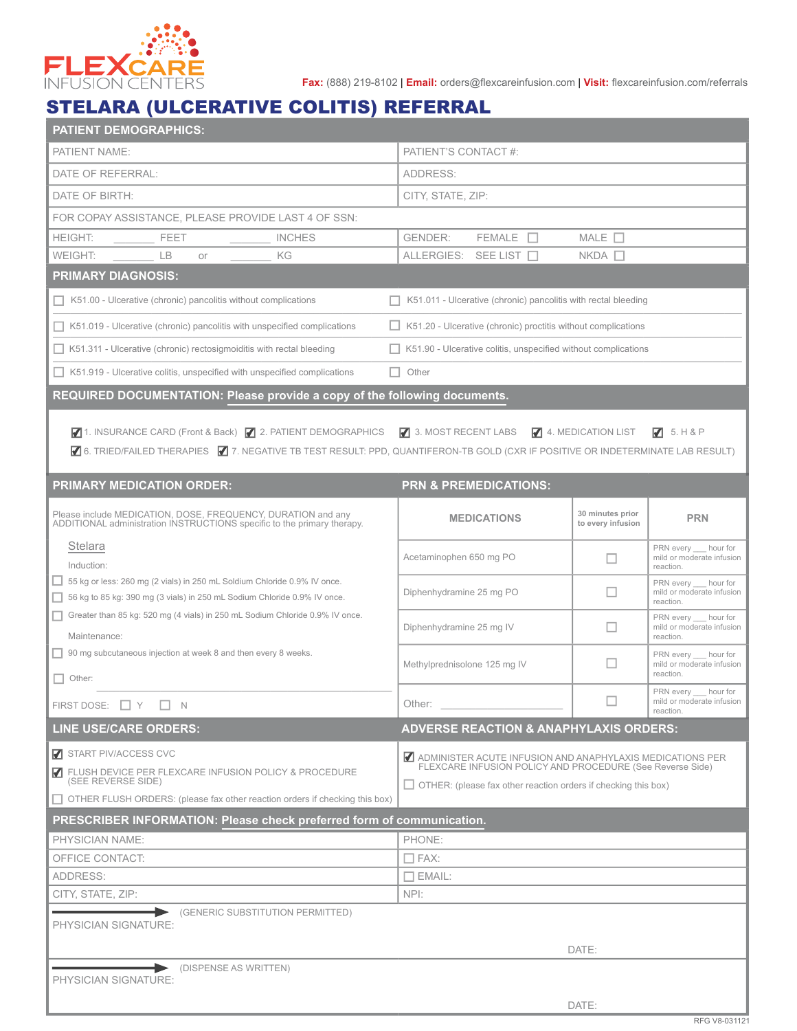

**Fax:** (888) 219-8102 | **Email:** orders@flexcareinfusion.com | **Visit:** flexcareinfusion.com/referrals

## STELARA (ULCERATIVE COLITIS) REFERRAL

| <b>PATIENT DEMOGRAPHICS:</b>                                                                                                                                                                                                                       |                                                                                                                                                                                                 |                   |                                                                 |  |  |  |  |
|----------------------------------------------------------------------------------------------------------------------------------------------------------------------------------------------------------------------------------------------------|-------------------------------------------------------------------------------------------------------------------------------------------------------------------------------------------------|-------------------|-----------------------------------------------------------------|--|--|--|--|
| PATIENT NAME:                                                                                                                                                                                                                                      | PATIENT'S CONTACT #:                                                                                                                                                                            |                   |                                                                 |  |  |  |  |
| DATE OF REFERRAL:                                                                                                                                                                                                                                  | ADDRESS:                                                                                                                                                                                        |                   |                                                                 |  |  |  |  |
| DATE OF BIRTH:                                                                                                                                                                                                                                     | CITY, STATE, ZIP:                                                                                                                                                                               |                   |                                                                 |  |  |  |  |
| FOR COPAY ASSISTANCE, PLEASE PROVIDE LAST 4 OF SSN:                                                                                                                                                                                                |                                                                                                                                                                                                 |                   |                                                                 |  |  |  |  |
| <b>HEIGHT:</b><br>FEET<br><b>INCHES</b>                                                                                                                                                                                                            | $FEMALE$ $\Box$<br>GENDER:                                                                                                                                                                      | MALE $\Box$       |                                                                 |  |  |  |  |
| WEIGHT:<br><b>LB</b><br>ΚG<br>or                                                                                                                                                                                                                   | ALLERGIES: SEE LIST                                                                                                                                                                             | $NKDA$ $\square$  |                                                                 |  |  |  |  |
| <b>PRIMARY DIAGNOSIS:</b>                                                                                                                                                                                                                          |                                                                                                                                                                                                 |                   |                                                                 |  |  |  |  |
| $\Box$ K51.00 - Ulcerative (chronic) pancolitis without complications                                                                                                                                                                              | K51.011 - Ulcerative (chronic) pancolitis with rectal bleeding                                                                                                                                  |                   |                                                                 |  |  |  |  |
| $\Box$ K51.019 - Ulcerative (chronic) pancolitis with unspecified complications<br>K51.20 - Ulcerative (chronic) proctitis without complications                                                                                                   |                                                                                                                                                                                                 |                   |                                                                 |  |  |  |  |
| $\Box$ K51.311 - Ulcerative (chronic) rectosigmoiditis with rectal bleeding<br>K51.90 - Ulcerative colitis, unspecified without complications                                                                                                      |                                                                                                                                                                                                 |                   |                                                                 |  |  |  |  |
| $\Box$ K51.919 - Ulcerative colitis, unspecified with unspecified complications                                                                                                                                                                    | Other                                                                                                                                                                                           |                   |                                                                 |  |  |  |  |
| REQUIRED DOCUMENTATION: Please provide a copy of the following documents.                                                                                                                                                                          |                                                                                                                                                                                                 |                   |                                                                 |  |  |  |  |
| 71. INSURANCE CARD (Front & Back) 72. PATIENT DEMOGRAPHICS 73. MOST RECENT LABS 74. MEDICATION LIST<br>75. H8P<br>■ 6. TRIED/FAILED THERAPIES ■ 7. NEGATIVE TB TEST RESULT: PPD, QUANTIFERON-TB GOLD (CXR IF POSITIVE OR INDETERMINATE LAB RESULT) |                                                                                                                                                                                                 |                   |                                                                 |  |  |  |  |
| <b>PRIMARY MEDICATION ORDER:</b><br>Please include MEDICATION, DOSE, FREQUENCY, DURATION and any                                                                                                                                                   | <b>PRN &amp; PREMEDICATIONS:</b>                                                                                                                                                                | 30 minutes prior  | <b>PRN</b>                                                      |  |  |  |  |
| ADDITIONAL administration INSTRUCTIONS specific to the primary therapy.                                                                                                                                                                            | <b>MEDICATIONS</b>                                                                                                                                                                              | to every infusion |                                                                 |  |  |  |  |
| Stelara<br>Induction:                                                                                                                                                                                                                              | Acetaminophen 650 mg PO                                                                                                                                                                         | □                 | PRN every __ hour for<br>mild or moderate infusion<br>reaction. |  |  |  |  |
| □ 55 kg or less: 260 mg (2 vials) in 250 mL Soldium Chloride 0.9% IV once.<br>56 kg to 85 kg: 390 mg (3 vials) in 250 mL Sodium Chloride 0.9% IV once.                                                                                             | Diphenhydramine 25 mg PO                                                                                                                                                                        | ш                 | PRN every __ hour for<br>mild or moderate infusion<br>reaction. |  |  |  |  |
| Greater than 85 kg: 520 mg (4 vials) in 250 mL Sodium Chloride 0.9% IV once.<br>Maintenance:                                                                                                                                                       | Diphenhydramine 25 mg IV                                                                                                                                                                        | $\Box$            | PRN every __ hour for<br>mild or moderate infusion<br>reaction. |  |  |  |  |
| $\Box$ 90 mg subcutaneous injection at week 8 and then every 8 weeks.<br>п<br>Other:                                                                                                                                                               | Methylprednisolone 125 mg IV                                                                                                                                                                    | ш                 | PRN every hour for<br>mild or moderate infusion<br>reaction.    |  |  |  |  |
| FIRST DOSE: T Y T N                                                                                                                                                                                                                                | Other:                                                                                                                                                                                          |                   | PRN every __ hour for<br>mild or moderate infusion              |  |  |  |  |
| <b>LINE USE/CARE ORDERS:</b>                                                                                                                                                                                                                       | <b>ADVERSE REACTION &amp; ANAPHYLAXIS ORDERS:</b>                                                                                                                                               |                   | reaction.                                                       |  |  |  |  |
| <b>7</b> START PIV/ACCESS CVC<br>T FLUSH DEVICE PER FLEXCARE INFUSION POLICY & PROCEDURE<br>(SEE REVERSE SIDE)<br>□ OTHER FLUSH ORDERS: (please fax other reaction orders if checking this box)                                                    | ADMINISTER ACUTE INFUSION AND ANAPHYLAXIS MEDICATIONS PER<br>FLEXCARE INFUSION POLICY AND PROCEDURE (See Reverse Side)<br>$\Box$ OTHER: (please fax other reaction orders if checking this box) |                   |                                                                 |  |  |  |  |
| PRESCRIBER INFORMATION: Please check preferred form of communication.                                                                                                                                                                              |                                                                                                                                                                                                 |                   |                                                                 |  |  |  |  |
| <b>PHYSICIAN NAME:</b>                                                                                                                                                                                                                             | PHONE:                                                                                                                                                                                          |                   |                                                                 |  |  |  |  |
| OFFICE CONTACT:                                                                                                                                                                                                                                    | $\Box$ FAX:                                                                                                                                                                                     |                   |                                                                 |  |  |  |  |
| ADDRESS:                                                                                                                                                                                                                                           | $\Box$ EMAIL:                                                                                                                                                                                   |                   |                                                                 |  |  |  |  |
| CITY, STATE, ZIP:                                                                                                                                                                                                                                  | NPI:                                                                                                                                                                                            |                   |                                                                 |  |  |  |  |
| (GENERIC SUBSTITUTION PERMITTED)<br>PHYSICIAN SIGNATURE:                                                                                                                                                                                           |                                                                                                                                                                                                 |                   |                                                                 |  |  |  |  |
| DISPENSE AS WRITTEN)                                                                                                                                                                                                                               |                                                                                                                                                                                                 | DATE:             |                                                                 |  |  |  |  |
| PHYSICIAN SIGNATURE:                                                                                                                                                                                                                               |                                                                                                                                                                                                 |                   |                                                                 |  |  |  |  |
|                                                                                                                                                                                                                                                    |                                                                                                                                                                                                 | DATE:             |                                                                 |  |  |  |  |